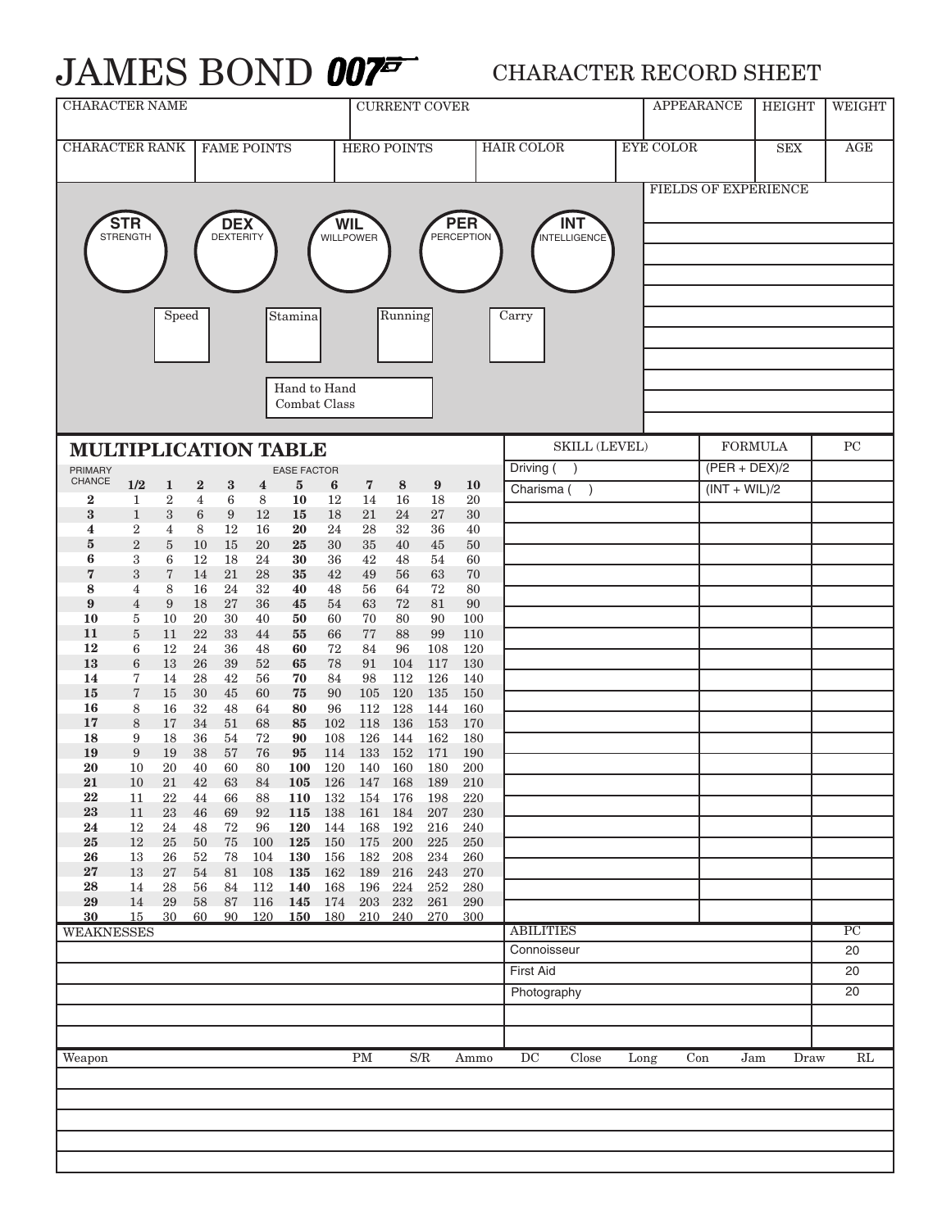## JAMES BOND **007<sup>5</sup>** CHARACTER RECORD SHEET

| <b>CHARACTER NAME</b>                                                                                                                                                                                                                                                            |                                    |                       |                            |                  |                              |                |                    | <b>CURRENT COVER</b>       |                |                        |                  |                  |       | <b>APPEARANCE</b> | <b>HEIGHT</b>   | WEIGHT          |                 |
|----------------------------------------------------------------------------------------------------------------------------------------------------------------------------------------------------------------------------------------------------------------------------------|------------------------------------|-----------------------|----------------------------|------------------|------------------------------|----------------|--------------------|----------------------------|----------------|------------------------|------------------|------------------|-------|-------------------|-----------------|-----------------|-----------------|
| <b>CHARACTER RANK</b><br><b>FAME POINTS</b>                                                                                                                                                                                                                                      |                                    |                       |                            |                  |                              |                | <b>HERO POINTS</b> |                            |                | <b>HAIR COLOR</b>      | <b>EYE COLOR</b> |                  |       | SEX               | AGE             |                 |                 |
| <b>FIELDS OF EXPERIENCE</b><br><b>STR</b><br><b>PER</b><br><b>DEX</b><br><b>WIL</b><br><b>INT</b><br><b>STRENGTH</b><br><b>DEXTERITY</b><br><b>PERCEPTION</b><br><b>INTELLIGENCE</b><br><b>WILLPOWER</b><br>Running<br>Speed<br>Stamina<br>Carry<br>Hand to Hand<br>Combat Class |                                    |                       |                            |                  |                              |                |                    |                            |                |                        |                  |                  |       |                   |                 |                 |                 |
| <b>MULTIPLICATION TABLE</b>                                                                                                                                                                                                                                                      |                                    |                       |                            |                  |                              |                |                    |                            |                |                        | SKILL (LEVEL)    |                  |       | <b>FORMULA</b>    | ${\rm PC}$      |                 |                 |
| PRIMARY<br><b>EASE FACTOR</b>                                                                                                                                                                                                                                                    |                                    |                       |                            |                  |                              |                |                    |                            | Driving (      |                        |                  |                  |       |                   | $(PER + DEX)/2$ |                 |                 |
| CHANCE<br>$\bf{2}$                                                                                                                                                                                                                                                               | 1/2<br>$\mathbf{1}$                | $\mathbf{1}$<br>$\,2$ | $\bf{2}$<br>$\overline{4}$ | $\bf{3}$<br>6    | $\overline{\mathbf{4}}$<br>8 | $\bf{5}$<br>10 | 6<br>12            | $\bf 7$<br>14              | 8<br>16        | $\boldsymbol{9}$<br>18 | <b>10</b><br>20  | Charisma (       |       |                   |                 | $(INT + WIL)/2$ |                 |
| $\bf{3}$                                                                                                                                                                                                                                                                         | $\mathbf{1}$                       | $\boldsymbol{3}$      | $6\phantom{1}6$            | $\boldsymbol{9}$ | 12                           | 15             | 18                 | 21                         | 24             | 27                     | 30               |                  |       |                   |                 |                 |                 |
| 4                                                                                                                                                                                                                                                                                | $\boldsymbol{2}$                   | $\overline{4}$        | 8                          | 12               | 16                           | 20             | 24                 | 28                         | 32             | 36                     | 40               |                  |       |                   |                 |                 |                 |
| $5\phantom{.0}$<br>6                                                                                                                                                                                                                                                             | $\overline{2}$<br>3                | $\bf 5$<br>6          | 10<br>12                   | 15<br>18         | 20<br>24                     | 25<br>30       | 30<br>36           | 35<br>42                   | 40<br>48       | 45<br>54               | 50<br>60         |                  |       |                   |                 |                 |                 |
| 7                                                                                                                                                                                                                                                                                | 3                                  | $\,7$                 | 14                         | 21               | 28                           | 35             | 42                 | 49                         | 56             | 63                     | 70               |                  |       |                   |                 |                 |                 |
| 8<br>9                                                                                                                                                                                                                                                                           | $\overline{4}$<br>$\overline{4}$   | 8<br>9                | 16<br>18                   | 24               | 32<br>36                     | 40             | 48<br>54           | 56                         | 64<br>72       | 72                     | 80<br>90         |                  |       |                   |                 |                 |                 |
| 10                                                                                                                                                                                                                                                                               | $\overline{5}$                     | 10                    | 20                         | 27<br>30         | 40                           | 45<br>50       | 60                 | 63<br>70                   | 80             | 81<br>90               | 100              |                  |       |                   |                 |                 |                 |
| 11                                                                                                                                                                                                                                                                               | 5                                  | 11                    | 22                         | 33               | 44                           | 55             | 66                 | 77                         | 88             | 99                     | 110              |                  |       |                   |                 |                 |                 |
| 12<br>13                                                                                                                                                                                                                                                                         | $6\phantom{1}6$<br>$6\phantom{1}6$ | 12<br>13              | 24<br>26                   | 36<br>39         | 48<br>52                     | 60<br>65       | 72<br>78           | 84<br>91                   | 96<br>104      | 108<br>117             | 120<br>130       |                  |       |                   |                 |                 |                 |
| 14                                                                                                                                                                                                                                                                               | 7                                  | 14                    | 28                         | 42               | 56                           | 70             | 84                 | 98                         | 112            | 126                    | 140              |                  |       |                   |                 |                 |                 |
| 15<br>16                                                                                                                                                                                                                                                                         | $\overline{7}$<br>8                | 15                    | 30<br>32                   | 45               | 60                           | 75             | 90<br>96           | 105                        | 120<br>128     | 135<br>144             | 150<br>160       |                  |       |                   |                 |                 |                 |
| 17                                                                                                                                                                                                                                                                               | 8                                  | 16<br>17              | 34                         | 48<br>51         | 64<br>68                     | 80<br>85       | 102                | 112<br>118                 | 136            | 153                    | 170              |                  |       |                   |                 |                 |                 |
| 18                                                                                                                                                                                                                                                                               | 9                                  | 18                    | 36                         | 54               | 72                           | 90             | 108                | 126                        | 144            | 162                    | 180              |                  |       |                   |                 |                 |                 |
| 19<br>20                                                                                                                                                                                                                                                                         | 9<br>10                            | 19<br>20              | 38<br>40                   | 57<br>60         | 76<br>80                     | 95<br>100      | 114<br>120         | 133<br>140                 | 152<br>160     | 171<br>180             | 190<br>200       |                  |       |                   |                 |                 |                 |
| 21                                                                                                                                                                                                                                                                               | 10                                 | 21                    | 42                         | 63               | 84                           |                |                    | 105 126 147 168 189        |                |                        | 210              |                  |       |                   |                 |                 |                 |
| 22                                                                                                                                                                                                                                                                               | 11                                 | $22\,$                | 44                         | 66               | 88                           | 110            | 132                | 154 176                    |                | 198                    | 220              |                  |       |                   |                 |                 |                 |
| 23<br>24                                                                                                                                                                                                                                                                         | 11<br>12                           | $23\,$<br>$24\,$      | 46<br>48                   | 69<br>72         | 92<br>96                     | 115<br>120     | 138<br>144         | 161<br>168                 | 184<br>192     | 207<br>216             | 230<br>240       |                  |       |                   |                 |                 |                 |
| 25                                                                                                                                                                                                                                                                               | 12                                 | $25\,$                | 50                         | 75               | 100                          | 125            | 150                | 175                        | 200            | 225                    | 250              |                  |       |                   |                 |                 |                 |
| 26<br>27                                                                                                                                                                                                                                                                         | 13<br>13                           | 26<br>27              | 52<br>54                   | 78<br>81         | 104<br>108                   | 130<br>135     | 156<br>162         | 182<br>189                 | 208<br>216     | 234<br>243             | 260<br>270       |                  |       |                   |                 |                 |                 |
| <b>28</b>                                                                                                                                                                                                                                                                        | 14                                 | $\bf 28$              | 56                         | 84               | 112                          | 140            | 168                | 196                        | $224\,$        | 252                    | 280              |                  |       |                   |                 |                 |                 |
| 29<br>30                                                                                                                                                                                                                                                                         | 14<br>15                           | 29<br>30              | 58<br>60                   | 87<br>90         | 116<br>120                   | 145<br>150     | 174<br>180         | 203                        | 232<br>210 240 | 261<br>270             | 290<br>300       |                  |       |                   |                 |                 |                 |
| <b>WEAKNESSES</b>                                                                                                                                                                                                                                                                |                                    |                       |                            |                  |                              |                |                    |                            |                |                        |                  | <b>ABILITIES</b> |       |                   |                 |                 | $\overline{PC}$ |
|                                                                                                                                                                                                                                                                                  |                                    |                       |                            |                  |                              |                |                    |                            |                |                        |                  | Connoisseur      |       |                   |                 |                 | 20              |
|                                                                                                                                                                                                                                                                                  |                                    |                       |                            |                  |                              |                |                    |                            |                |                        |                  | First Aid        |       |                   |                 |                 | 20              |
|                                                                                                                                                                                                                                                                                  |                                    |                       |                            |                  |                              |                |                    |                            |                |                        |                  | Photography      |       |                   |                 |                 | 20              |
|                                                                                                                                                                                                                                                                                  |                                    |                       |                            |                  |                              |                |                    |                            |                |                        |                  |                  |       |                   |                 |                 |                 |
|                                                                                                                                                                                                                                                                                  |                                    |                       |                            |                  |                              |                |                    |                            |                |                        |                  |                  |       |                   |                 |                 |                 |
| Weapon                                                                                                                                                                                                                                                                           |                                    |                       |                            |                  |                              |                |                    | $\mathop{\rm PM}\nolimits$ | S/R            |                        | Ammo             | DC               | Close | Long              | Con             | Jam<br>Draw     | $\mathbf{RL}$   |
|                                                                                                                                                                                                                                                                                  |                                    |                       |                            |                  |                              |                |                    |                            |                |                        |                  |                  |       |                   |                 |                 |                 |
|                                                                                                                                                                                                                                                                                  |                                    |                       |                            |                  |                              |                |                    |                            |                |                        |                  |                  |       |                   |                 |                 |                 |
|                                                                                                                                                                                                                                                                                  |                                    |                       |                            |                  |                              |                |                    |                            |                |                        |                  |                  |       |                   |                 |                 |                 |
|                                                                                                                                                                                                                                                                                  |                                    |                       |                            |                  |                              |                |                    |                            |                |                        |                  |                  |       |                   |                 |                 |                 |